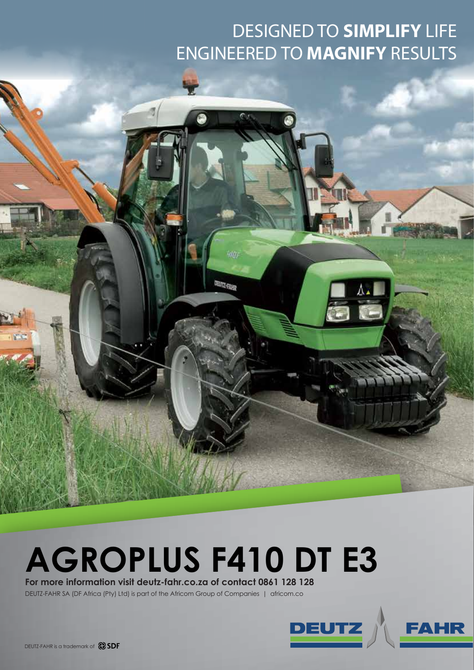## DESIGNED TO **SIMPLIFY** LIFE ENGINEERED TO **MAGNIFY** RESULTS

## **AGROPLUS F410 DT E3**

4m

**TEITZ-FAND** 

**For more information visit deutz-fahr.co.za of contact 0861 128 128**

DEUTZ-FAHR SA (DF Africa (Pty) Ltd) is part of the Africom Group of Companies | africom.co